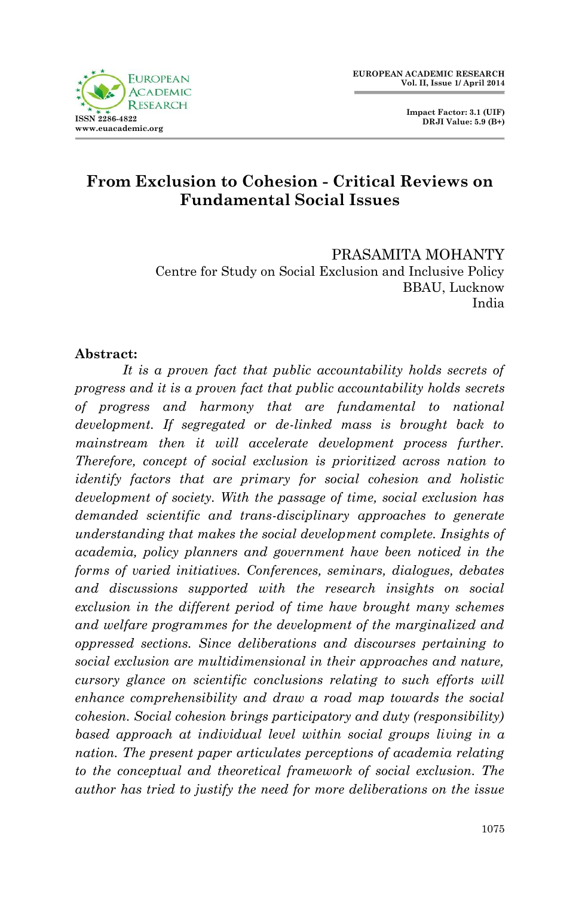

 **Impact Factor: 3.1 (UIF) DRJI Value: 5.9 (B+)**

# **From Exclusion to Cohesion - Critical Reviews on Fundamental Social Issues**

PRASAMITA MOHANTY Centre for Study on Social Exclusion and Inclusive Policy BBAU, Lucknow India

#### **Abstract:**

*It is a proven fact that public accountability holds secrets of progress and it is a proven fact that public accountability holds secrets of progress and harmony that are fundamental to national development. If segregated or de-linked mass is brought back to mainstream then it will accelerate development process further. Therefore, concept of social exclusion is prioritized across nation to identify factors that are primary for social cohesion and holistic development of society. With the passage of time, social exclusion has demanded scientific and trans-disciplinary approaches to generate understanding that makes the social development complete. Insights of academia, policy planners and government have been noticed in the forms of varied initiatives. Conferences, seminars, dialogues, debates and discussions supported with the research insights on social exclusion in the different period of time have brought many schemes and welfare programmes for the development of the marginalized and oppressed sections. Since deliberations and discourses pertaining to social exclusion are multidimensional in their approaches and nature, cursory glance on scientific conclusions relating to such efforts will enhance comprehensibility and draw a road map towards the social cohesion. Social cohesion brings participatory and duty (responsibility) based approach at individual level within social groups living in a nation. The present paper articulates perceptions of academia relating to the conceptual and theoretical framework of social exclusion. The author has tried to justify the need for more deliberations on the issue*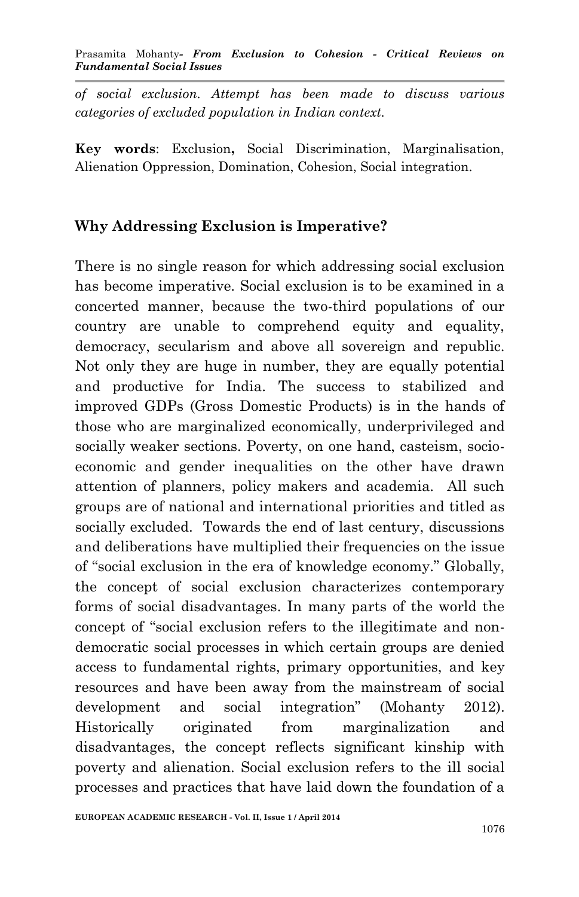Prasamita Mohanty*- From Exclusion to Cohesion - Critical Reviews on Fundamental Social Issues*

*of social exclusion. Attempt has been made to discuss various categories of excluded population in Indian context.* 

**Key words**: Exclusion**,** Social Discrimination, Marginalisation, Alienation Oppression, Domination, Cohesion, Social integration.

### **Why Addressing Exclusion is Imperative?**

There is no single reason for which addressing social exclusion has become imperative. Social exclusion is to be examined in a concerted manner, because the two-third populations of our country are unable to comprehend equity and equality, democracy, secularism and above all sovereign and republic. Not only they are huge in number, they are equally potential and productive for India. The success to stabilized and improved GDPs (Gross Domestic Products) is in the hands of those who are marginalized economically, underprivileged and socially weaker sections. Poverty, on one hand, casteism, socioeconomic and gender inequalities on the other have drawn attention of planners, policy makers and academia. All such groups are of national and international priorities and titled as socially excluded. Towards the end of last century, discussions and deliberations have multiplied their frequencies on the issue of "social exclusion in the era of knowledge economy." Globally, the concept of social exclusion characterizes contemporary forms of social disadvantages. In many parts of the world the concept of "social exclusion refers to the illegitimate and nondemocratic social processes in which certain groups are denied access to fundamental rights, primary opportunities, and key resources and have been away from the mainstream of social development and social integration" (Mohanty 2012). Historically originated from marginalization and disadvantages, the concept reflects significant kinship with poverty and alienation. Social exclusion refers to the ill social processes and practices that have laid down the foundation of a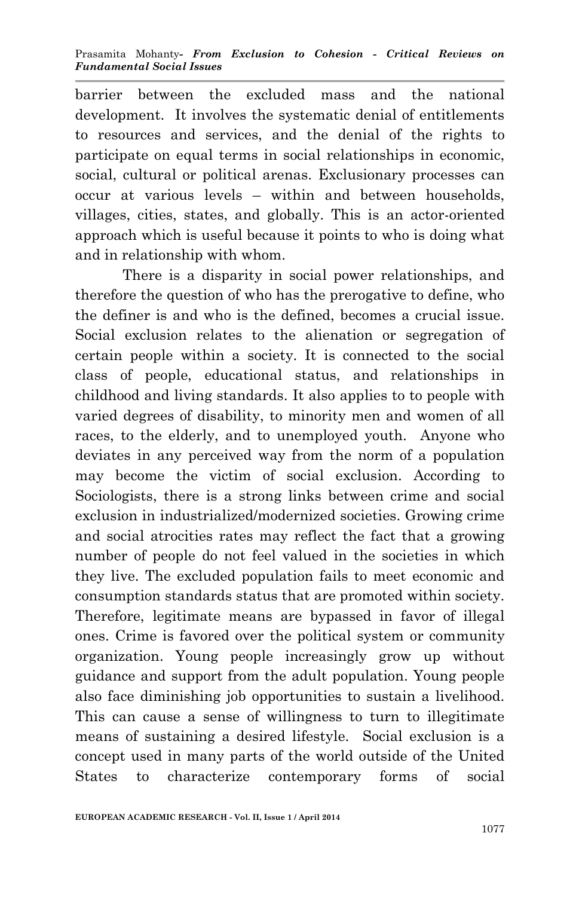barrier between the excluded mass and the national development. It involves the systematic denial of entitlements to resources and services, and the denial of the rights to participate on equal terms in social relationships in economic, social, cultural or political arenas. Exclusionary processes can occur at various levels – within and between households, villages, cities, states, and globally. This is an actor-oriented approach which is useful because it points to who is doing what and in relationship with whom.

There is a disparity in social power relationships, and therefore the question of who has the prerogative to define, who the definer is and who is the defined, becomes a crucial issue. Social exclusion relates to the alienation or segregation of certain people within a society. It is connected to the social class of people, educational status, and relationships in childhood and living standards. It also applies to to people with varied degrees of disability, to minority men and women of all races, to the elderly, and to unemployed youth. Anyone who deviates in any perceived way from the norm of a population may become the victim of social exclusion. According to Sociologists, there is a strong links between crime and social exclusion in industrialized/modernized societies. Growing crime and social atrocities rates may reflect the fact that a growing number of people do not feel valued in the societies in which they live. The excluded population fails to meet economic and consumption standards status that are promoted within society. Therefore, legitimate means are bypassed in favor of illegal ones. Crime is favored over the political system or community organization. Young people increasingly grow up without guidance and support from the adult population. Young people also face diminishing job opportunities to sustain a livelihood. This can cause a sense of willingness to turn to illegitimate means of sustaining a desired lifestyle. Social exclusion is a concept used in many parts of the world outside of the United States to characterize contemporary forms of social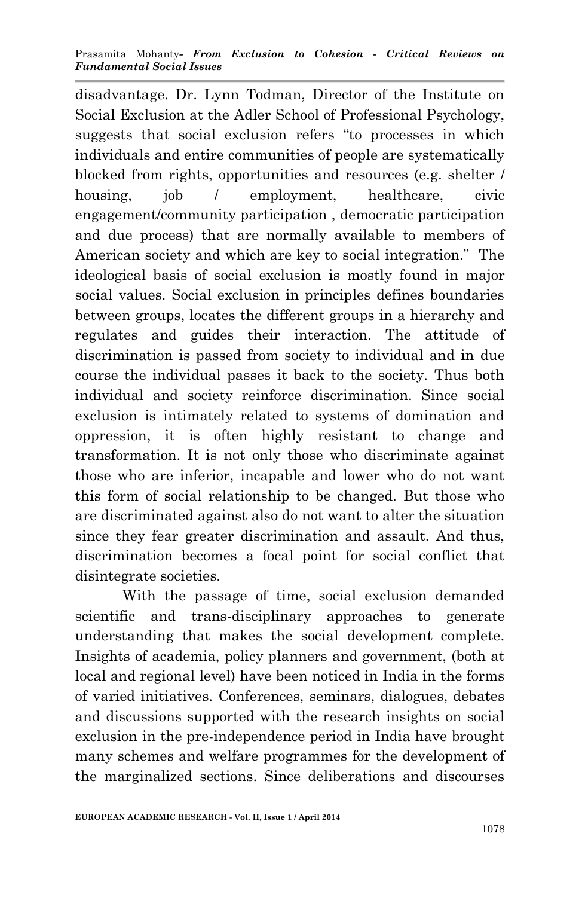disadvantage. Dr. Lynn Todman, Director of the Institute on Social Exclusion at the Adler School of Professional Psychology, suggests that social exclusion refers "to processes in which individuals and entire communities of people are systematically blocked from rights, opportunities and resources (e.g. shelter / housing, job / employment, healthcare, civic engagement/community participation , democratic participation and due process) that are normally available to members of American society and which are key to social integration." The ideological basis of social exclusion is mostly found in major social values. Social exclusion in principles defines boundaries between groups, locates the different groups in a hierarchy and regulates and guides their interaction. The attitude of discrimination is passed from society to individual and in due course the individual passes it back to the society. Thus both individual and society reinforce discrimination. Since social exclusion is intimately related to systems of domination and oppression, it is often highly resistant to change and transformation. It is not only those who discriminate against those who are inferior, incapable and lower who do not want this form of social relationship to be changed. But those who are discriminated against also do not want to alter the situation since they fear greater discrimination and assault. And thus, discrimination becomes a focal point for social conflict that disintegrate societies.

With the passage of time, social exclusion demanded scientific and trans-disciplinary approaches to generate understanding that makes the social development complete. Insights of academia, policy planners and government, (both at local and regional level) have been noticed in India in the forms of varied initiatives. Conferences, seminars, dialogues, debates and discussions supported with the research insights on social exclusion in the pre-independence period in India have brought many schemes and welfare programmes for the development of the marginalized sections. Since deliberations and discourses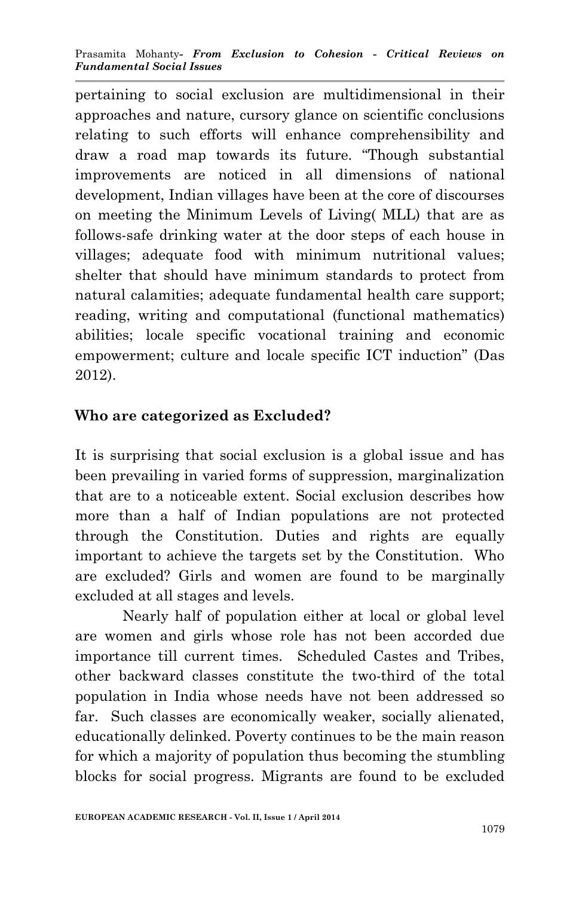pertaining to social exclusion are multidimensional in their approaches and nature, cursory glance on scientific conclusions relating to such efforts will enhance comprehensibility and draw a road map towards its future. "Though substantial improvements are noticed in all dimensions of national development, Indian villages have been at the core of discourses on meeting the Minimum Levels of Living( MLL) that are as follows-safe drinking water at the door steps of each house in villages; adequate food with minimum nutritional values; shelter that should have minimum standards to protect from natural calamities; adequate fundamental health care support; reading, writing and computational (functional mathematics) abilities; locale specific vocational training and economic empowerment; culture and locale specific ICT induction" (Das 2012).

### **Who are categorized as Excluded?**

It is surprising that social exclusion is a global issue and has been prevailing in varied forms of suppression, marginalization that are to a noticeable extent. Social exclusion describes how more than a half of Indian populations are not protected through the Constitution. Duties and rights are equally important to achieve the targets set by the Constitution. Who are excluded? Girls and women are found to be marginally excluded at all stages and levels.

Nearly half of population either at local or global level are women and girls whose role has not been accorded due importance till current times. Scheduled Castes and Tribes, other backward classes constitute the two-third of the total population in India whose needs have not been addressed so far. Such classes are economically weaker, socially alienated, educationally delinked. Poverty continues to be the main reason for which a majority of population thus becoming the stumbling blocks for social progress. Migrants are found to be excluded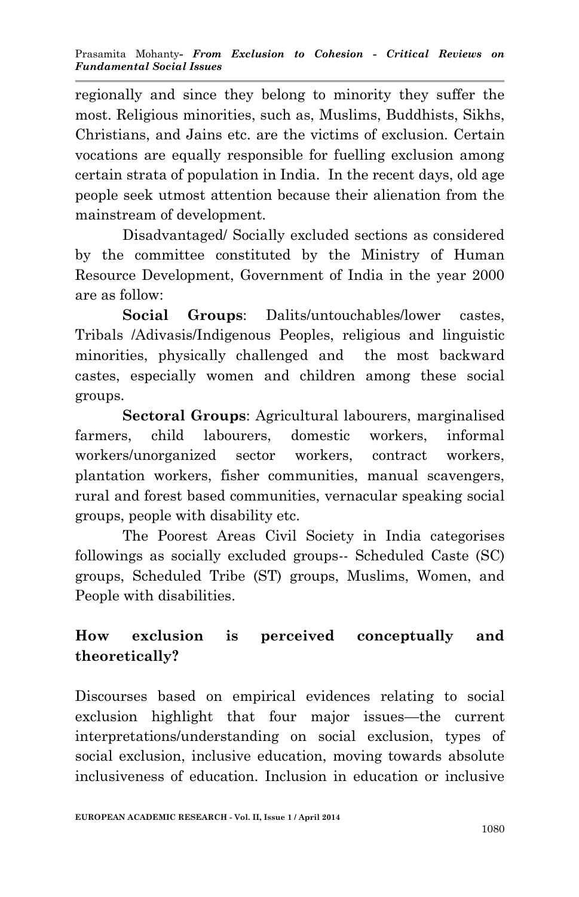regionally and since they belong to minority they suffer the most. Religious minorities, such as, Muslims, Buddhists, Sikhs, Christians, and Jains etc. are the victims of exclusion. Certain vocations are equally responsible for fuelling exclusion among certain strata of population in India. In the recent days, old age people seek utmost attention because their alienation from the mainstream of development.

Disadvantaged/ Socially excluded sections as considered by the committee constituted by the Ministry of Human Resource Development, Government of India in the year 2000 are as follow:

**Social Groups**: Dalits/untouchables/lower castes, Tribals /Adivasis/Indigenous Peoples, religious and linguistic minorities, physically challenged and the most backward castes, especially women and children among these social groups.

**Sectoral Groups**: Agricultural labourers, marginalised farmers, child labourers, domestic workers, informal workers/unorganized sector workers, contract workers, plantation workers, fisher communities, manual scavengers, rural and forest based communities, vernacular speaking social groups, people with disability etc.

The Poorest Areas Civil Society in India categorises followings as socially excluded groups-- Scheduled Caste (SC) groups, Scheduled Tribe (ST) groups, Muslims, Women, and People with disabilities.

# **How exclusion is perceived conceptually and theoretically?**

Discourses based on empirical evidences relating to social exclusion highlight that four major issues—the current interpretations/understanding on social exclusion, types of social exclusion, inclusive education, moving towards absolute inclusiveness of education. Inclusion in education or inclusive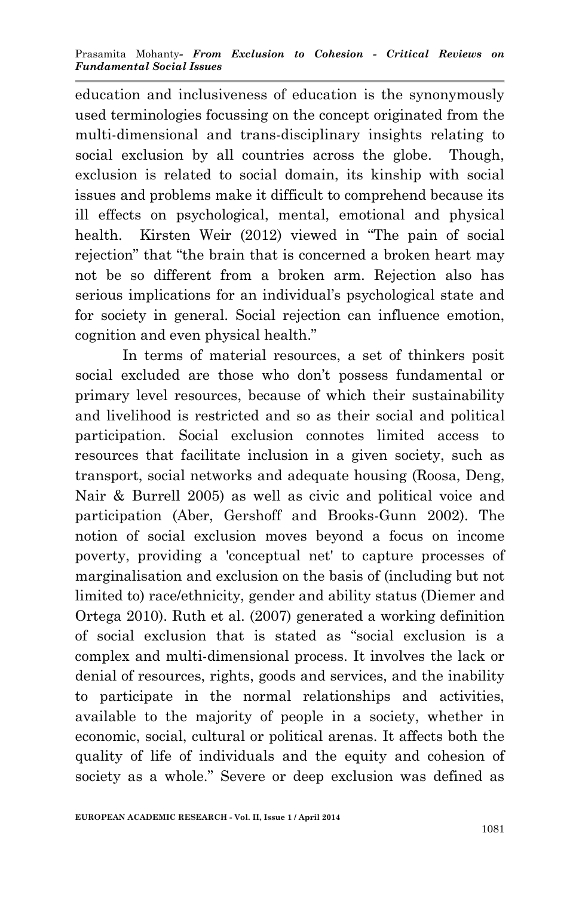education and inclusiveness of education is the synonymously used terminologies focussing on the concept originated from the multi-dimensional and trans-disciplinary insights relating to social exclusion by all countries across the globe. Though, exclusion is related to social domain, its kinship with social issues and problems make it difficult to comprehend because its ill effects on psychological, mental, emotional and physical health. Kirsten Weir (2012) viewed in "The pain of social rejection" that "the brain that is concerned a broken heart may not be so different from a broken arm. Rejection also has serious implications for an individual's psychological state and for society in general. Social rejection can influence emotion, cognition and even physical health."

In terms of material resources, a set of thinkers posit social excluded are those who don't possess fundamental or primary level resources, because of which their sustainability and livelihood is restricted and so as their social and political participation. Social exclusion connotes limited access to resources that facilitate inclusion in a given society, such as transport, social networks and adequate housing (Roosa, Deng, Nair & Burrell 2005) as well as civic and political voice and participation (Aber, Gershoff and Brooks-Gunn 2002). The notion of social exclusion moves beyond a focus on income poverty, providing a 'conceptual net' to capture processes of marginalisation and exclusion on the basis of (including but not limited to) race/ethnicity, gender and ability status (Diemer and Ortega 2010). Ruth et al. (2007) generated a working definition of social exclusion that is stated as "social exclusion is a complex and multi-dimensional process. It involves the lack or denial of resources, rights, goods and services, and the inability to participate in the normal relationships and activities, available to the majority of people in a society, whether in economic, social, cultural or political arenas. It affects both the quality of life of individuals and the equity and cohesion of society as a whole." Severe or deep exclusion was defined as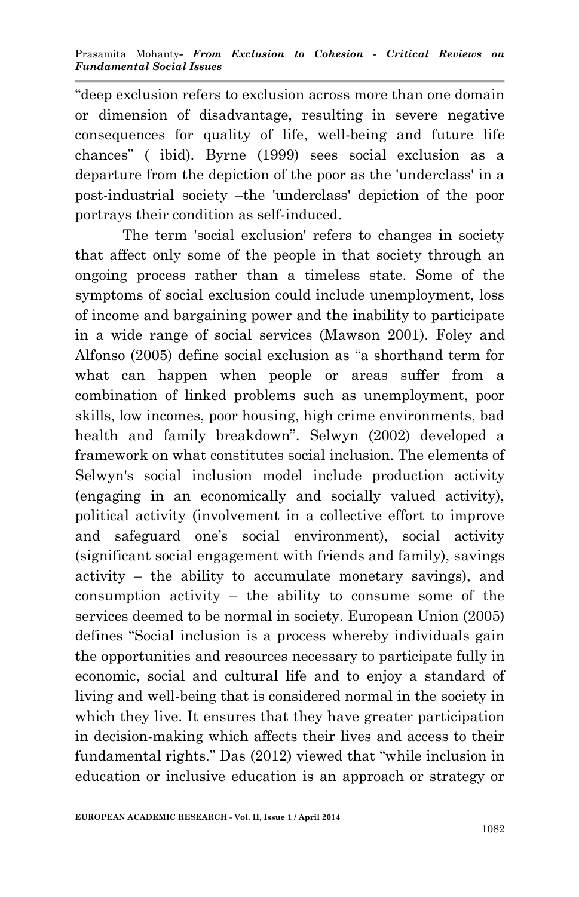"deep exclusion refers to exclusion across more than one domain or dimension of disadvantage, resulting in severe negative consequences for quality of life, well-being and future life chances" ( ibid). Byrne (1999) sees social exclusion as a departure from the depiction of the poor as the 'underclass' in a post-industrial society –the 'underclass' depiction of the poor portrays their condition as self-induced.

The term 'social exclusion' refers to changes in society that affect only some of the people in that society through an ongoing process rather than a timeless state. Some of the symptoms of social exclusion could include unemployment, loss of income and bargaining power and the inability to participate in a wide range of social services (Mawson 2001). Foley and Alfonso (2005) define social exclusion as "a shorthand term for what can happen when people or areas suffer from a combination of linked problems such as unemployment, poor skills, low incomes, poor housing, high crime environments, bad health and family breakdown". Selwyn (2002) developed a framework on what constitutes social inclusion. The elements of Selwyn's social inclusion model include production activity (engaging in an economically and socially valued activity), political activity (involvement in a collective effort to improve and safeguard one's social environment), social activity (significant social engagement with friends and family), savings activity – the ability to accumulate monetary savings), and consumption activity – the ability to consume some of the services deemed to be normal in society. European Union (2005) defines "Social inclusion is a process whereby individuals gain the opportunities and resources necessary to participate fully in economic, social and cultural life and to enjoy a standard of living and well-being that is considered normal in the society in which they live. It ensures that they have greater participation in decision-making which affects their lives and access to their fundamental rights." Das (2012) viewed that "while inclusion in education or inclusive education is an approach or strategy or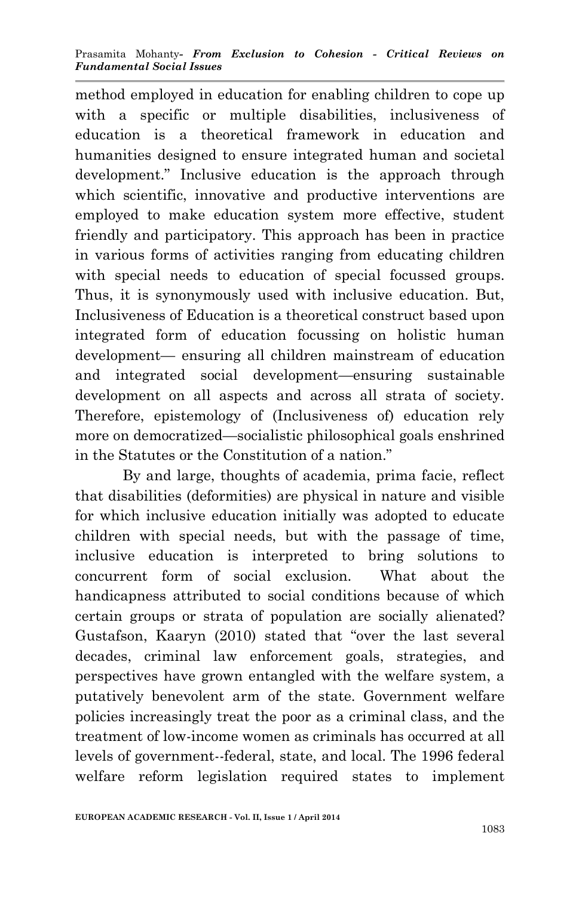method employed in education for enabling children to cope up with a specific or multiple disabilities, inclusiveness of education is a theoretical framework in education and humanities designed to ensure integrated human and societal development." Inclusive education is the approach through which scientific, innovative and productive interventions are employed to make education system more effective, student friendly and participatory. This approach has been in practice in various forms of activities ranging from educating children with special needs to education of special focussed groups. Thus, it is synonymously used with inclusive education. But, Inclusiveness of Education is a theoretical construct based upon integrated form of education focussing on holistic human development— ensuring all children mainstream of education and integrated social development—ensuring sustainable development on all aspects and across all strata of society. Therefore, epistemology of (Inclusiveness of) education rely more on democratized—socialistic philosophical goals enshrined in the Statutes or the Constitution of a nation."

By and large, thoughts of academia, prima facie, reflect that disabilities (deformities) are physical in nature and visible for which inclusive education initially was adopted to educate children with special needs, but with the passage of time, inclusive education is interpreted to bring solutions to concurrent form of social exclusion. What about the handicapness attributed to social conditions because of which certain groups or strata of population are socially alienated? Gustafson, Kaaryn (2010) stated that "over the last several decades, criminal law enforcement goals, strategies, and perspectives have grown entangled with the welfare system, a putatively benevolent arm of the state. Government welfare policies increasingly treat the poor as a criminal class, and the treatment of low-income women as criminals has occurred at all levels of government--federal, state, and local. The 1996 federal welfare reform legislation required states to implement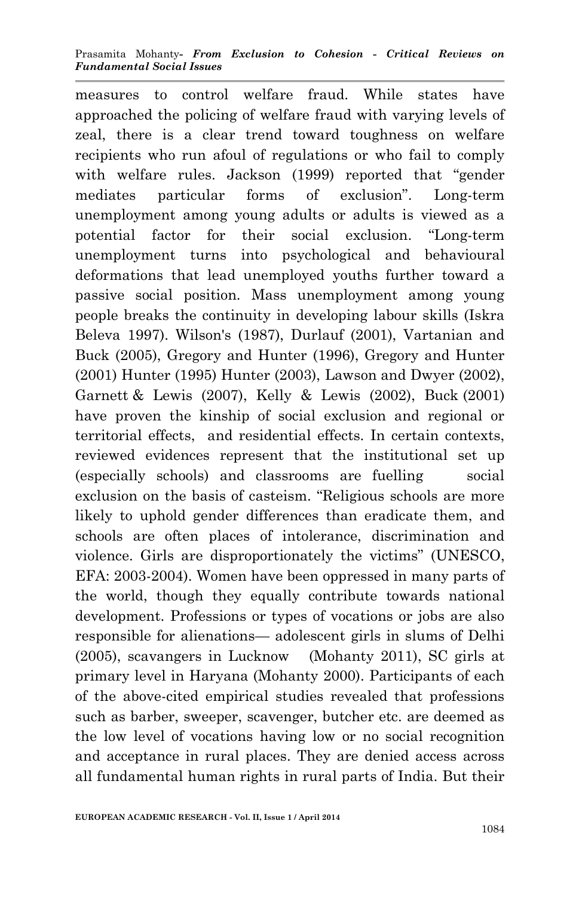measures to control welfare fraud. While states have approached the policing of welfare fraud with varying levels of zeal, there is a clear trend toward toughness on welfare recipients who run afoul of regulations or who fail to comply with welfare rules. Jackson (1999) reported that "gender mediates particular forms of exclusion". Long-term unemployment among young adults or adults is viewed as a potential factor for their social exclusion. "Long-term unemployment turns into psychological and behavioural deformations that lead unemployed youths further toward a passive social position. Mass unemployment among young people breaks the continuity in developing labour skills (Iskra Beleva 1997). Wilson's (1987), Durlauf (2001), Vartanian and Buck (2005), Gregory and Hunter (1996), Gregory and Hunter (2001) Hunter (1995) Hunter (2003), Lawson and Dwyer (2002), Garnett & Lewis (2007), Kelly & Lewis (2002), Buck (2001) have proven the kinship of social exclusion and regional or territorial effects, and residential effects. In certain contexts, reviewed evidences represent that the institutional set up (especially schools) and classrooms are fuelling social exclusion on the basis of casteism. "Religious schools are more likely to uphold gender differences than eradicate them, and schools are often places of intolerance, discrimination and violence. Girls are disproportionately the victims" (UNESCO, EFA: 2003-2004). Women have been oppressed in many parts of the world, though they equally contribute towards national development. Professions or types of vocations or jobs are also responsible for alienations— adolescent girls in slums of Delhi (2005), scavangers in Lucknow (Mohanty 2011), SC girls at primary level in Haryana (Mohanty 2000). Participants of each of the above-cited empirical studies revealed that professions such as barber, sweeper, scavenger, butcher etc. are deemed as the low level of vocations having low or no social recognition and acceptance in rural places. They are denied access across all fundamental human rights in rural parts of India. But their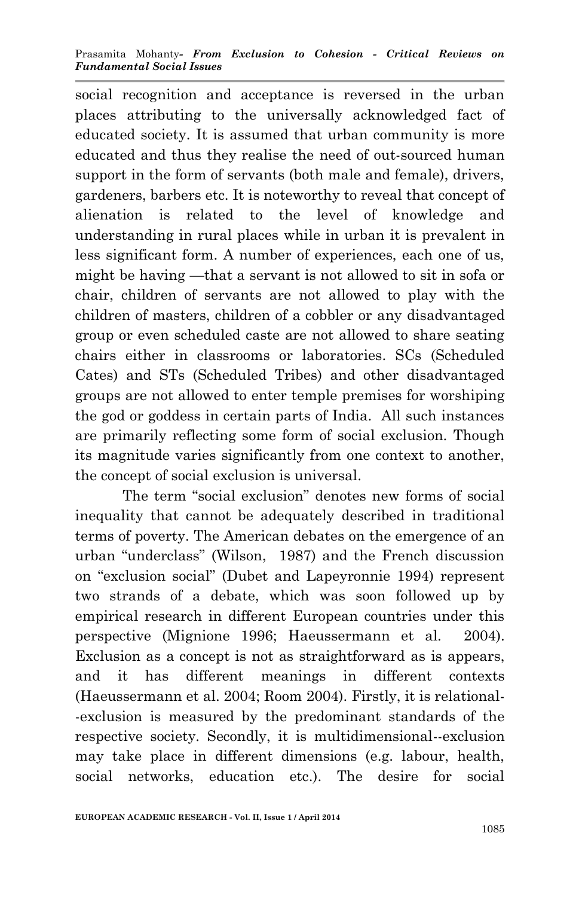social recognition and acceptance is reversed in the urban places attributing to the universally acknowledged fact of educated society. It is assumed that urban community is more educated and thus they realise the need of out-sourced human support in the form of servants (both male and female), drivers, gardeners, barbers etc. It is noteworthy to reveal that concept of alienation is related to the level of knowledge and understanding in rural places while in urban it is prevalent in less significant form. A number of experiences, each one of us, might be having —that a servant is not allowed to sit in sofa or chair, children of servants are not allowed to play with the children of masters, children of a cobbler or any disadvantaged group or even scheduled caste are not allowed to share seating chairs either in classrooms or laboratories. SCs (Scheduled Cates) and STs (Scheduled Tribes) and other disadvantaged groups are not allowed to enter temple premises for worshiping the god or goddess in certain parts of India. All such instances are primarily reflecting some form of social exclusion. Though its magnitude varies significantly from one context to another, the concept of social exclusion is universal.

The term "social exclusion" denotes new forms of social inequality that cannot be adequately described in traditional terms of poverty. The American debates on the emergence of an urban "underclass" (Wilson, 1987) and the French discussion on "exclusion social" (Dubet and Lapeyronnie 1994) represent two strands of a debate, which was soon followed up by empirical research in different European countries under this perspective (Mignione 1996; Haeussermann et al. 2004). Exclusion as a concept is not as straightforward as is appears, and it has different meanings in different contexts (Haeussermann et al. 2004; Room 2004). Firstly, it is relational- -exclusion is measured by the predominant standards of the respective society. Secondly, it is multidimensional--exclusion may take place in different dimensions (e.g. labour, health, social networks, education etc.). The desire for social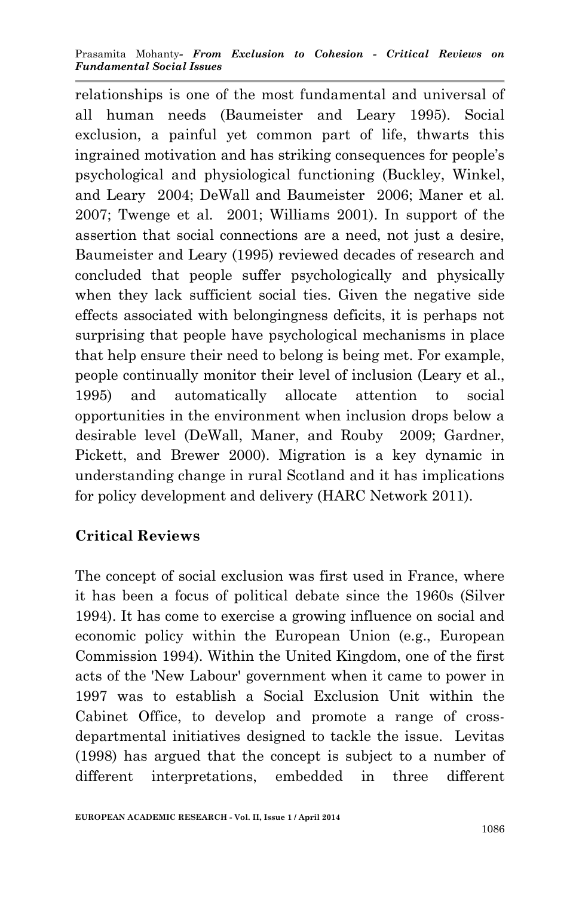relationships is one of the most fundamental and universal of all human needs (Baumeister and Leary 1995). Social exclusion, a painful yet common part of life, thwarts this ingrained motivation and has striking consequences for people's psychological and physiological functioning (Buckley, Winkel, and Leary 2004; DeWall and Baumeister 2006; Maner et al. 2007; Twenge et al. 2001; Williams 2001). In support of the assertion that social connections are a need, not just a desire, Baumeister and Leary (1995) reviewed decades of research and concluded that people suffer psychologically and physically when they lack sufficient social ties. Given the negative side effects associated with belongingness deficits, it is perhaps not surprising that people have psychological mechanisms in place that help ensure their need to belong is being met. For example, people continually monitor their level of inclusion (Leary et al., 1995) and automatically allocate attention to social opportunities in the environment when inclusion drops below a desirable level (DeWall, Maner, and Rouby 2009; Gardner, Pickett, and Brewer 2000). Migration is a key dynamic in understanding change in rural Scotland and it has implications for policy development and delivery (HARC Network 2011).

# **Critical Reviews**

The concept of social exclusion was first used in France, where it has been a focus of political debate since the 1960s (Silver 1994). It has come to exercise a growing influence on social and economic policy within the European Union (e.g., European Commission 1994). Within the United Kingdom, one of the first acts of the 'New Labour' government when it came to power in 1997 was to establish a Social Exclusion Unit within the Cabinet Office, to develop and promote a range of crossdepartmental initiatives designed to tackle the issue. Levitas (1998) has argued that the concept is subject to a number of different interpretations, embedded in three different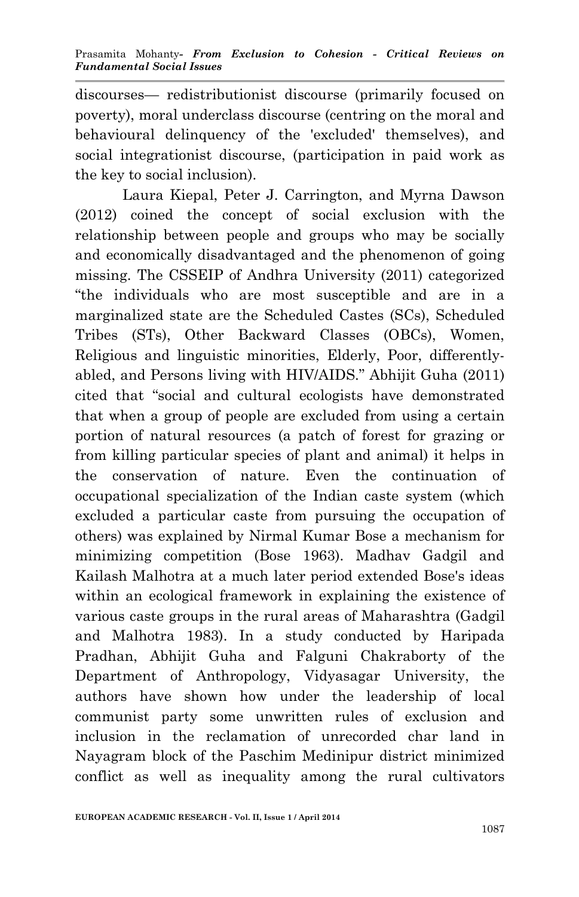discourses— redistributionist discourse (primarily focused on poverty), moral underclass discourse (centring on the moral and behavioural delinquency of the 'excluded' themselves), and social integrationist discourse, (participation in paid work as the key to social inclusion).

Laura Kiepal, Peter J. Carrington, and Myrna Dawson (2012) coined the concept of social exclusion with the relationship between people and groups who may be socially and economically disadvantaged and the phenomenon of going missing. The CSSEIP of Andhra University (2011) categorized "the individuals who are most susceptible and are in a marginalized state are the Scheduled Castes (SCs), Scheduled Tribes (STs), Other Backward Classes (OBCs), Women, Religious and linguistic minorities, Elderly, Poor, differentlyabled, and Persons living with HIV/AIDS." Abhijit Guha (2011) cited that "social and cultural ecologists have demonstrated that when a group of people are excluded from using a certain portion of natural resources (a patch of forest for grazing or from killing particular species of plant and animal) it helps in the conservation of nature. Even the continuation of occupational specialization of the Indian caste system (which excluded a particular caste from pursuing the occupation of others) was explained by Nirmal Kumar Bose a mechanism for minimizing competition (Bose 1963). Madhav Gadgil and Kailash Malhotra at a much later period extended Bose's ideas within an ecological framework in explaining the existence of various caste groups in the rural areas of Maharashtra (Gadgil and Malhotra 1983). In a study conducted by Haripada Pradhan, Abhijit Guha and Falguni Chakraborty of the Department of Anthropology, Vidyasagar University, the authors have shown how under the leadership of local communist party some unwritten rules of exclusion and inclusion in the reclamation of unrecorded char land in Nayagram block of the Paschim Medinipur district minimized conflict as well as inequality among the rural cultivators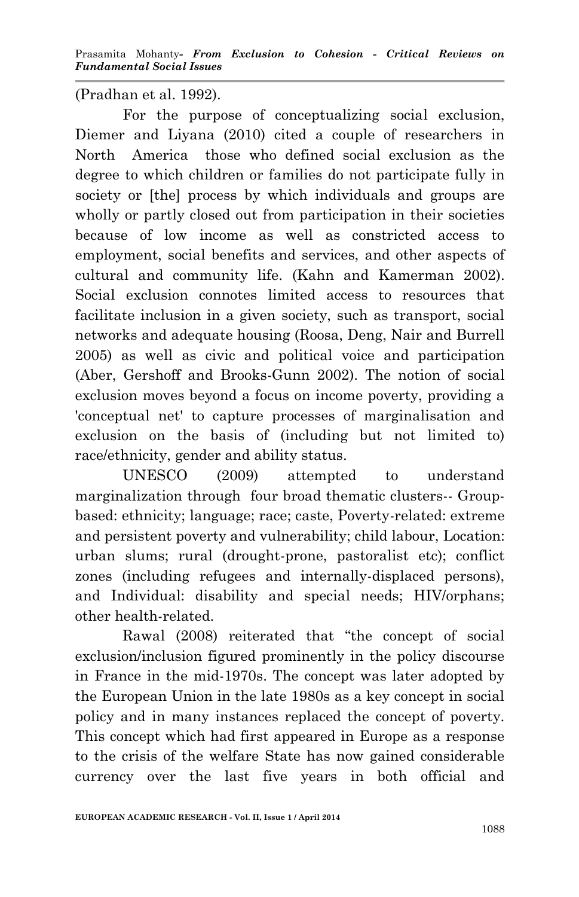(Pradhan et al. 1992).

For the purpose of conceptualizing social exclusion, Diemer and Liyana (2010) cited a couple of researchers in North America those who defined social exclusion as the degree to which children or families do not participate fully in society or [the] process by which individuals and groups are wholly or partly closed out from participation in their societies because of low income as well as constricted access to employment, social benefits and services, and other aspects of cultural and community life. (Kahn and Kamerman 2002). Social exclusion connotes limited access to resources that facilitate inclusion in a given society, such as transport, social networks and adequate housing (Roosa, Deng, Nair and Burrell 2005) as well as civic and political voice and participation (Aber, Gershoff and Brooks-Gunn 2002). The notion of social exclusion moves beyond a focus on income poverty, providing a 'conceptual net' to capture processes of marginalisation and exclusion on the basis of (including but not limited to) race/ethnicity, gender and ability status.

UNESCO (2009) attempted to understand marginalization through four broad thematic clusters-- Groupbased: ethnicity; language; race; caste, Poverty-related: extreme and persistent poverty and vulnerability; child labour, Location: urban slums; rural (drought-prone, pastoralist etc); conflict zones (including refugees and internally-displaced persons), and Individual: disability and special needs; HIV/orphans; other health-related.

Rawal (2008) reiterated that "the concept of social exclusion/inclusion figured prominently in the policy discourse in France in the mid-1970s. The concept was later adopted by the European Union in the late 1980s as a key concept in social policy and in many instances replaced the concept of poverty. This concept which had first appeared in Europe as a response to the crisis of the welfare State has now gained considerable currency over the last five years in both official and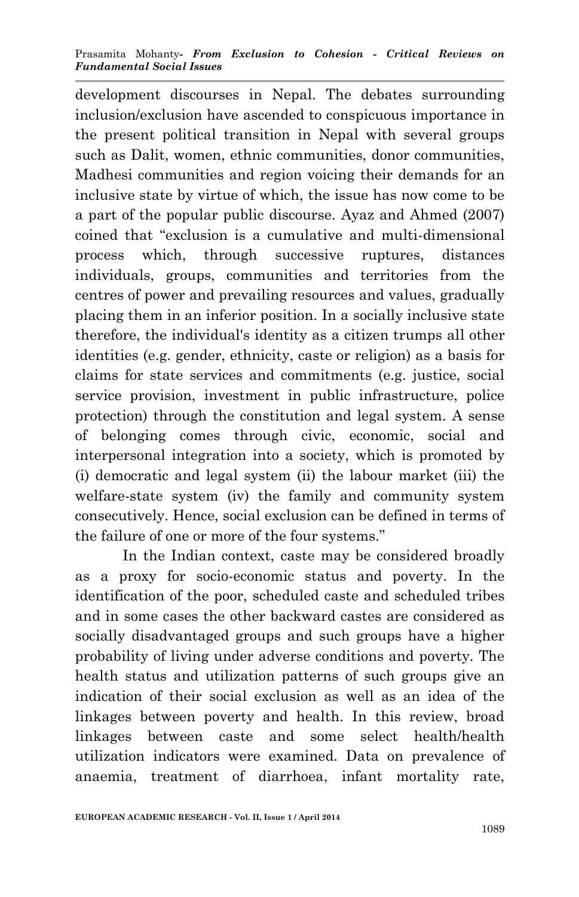development discourses in Nepal. The debates surrounding inclusion/exclusion have ascended to conspicuous importance in the present political transition in Nepal with several groups such as Dalit, women, ethnic communities, donor communities, Madhesi communities and region voicing their demands for an inclusive state by virtue of which, the issue has now come to be a part of the popular public discourse. Ayaz and Ahmed (2007) coined that "exclusion is a cumulative and multi-dimensional process which, through successive ruptures, distances individuals, groups, communities and territories from the centres of power and prevailing resources and values, gradually placing them in an inferior position. In a socially inclusive state therefore, the individual's identity as a citizen trumps all other identities (e.g. gender, ethnicity, caste or religion) as a basis for claims for state services and commitments (e.g. justice, social service provision, investment in public infrastructure, police protection) through the constitution and legal system. A sense of belonging comes through civic, economic, social and interpersonal integration into a society, which is promoted by (i) democratic and legal system (ii) the labour market (iii) the welfare-state system (iv) the family and community system consecutively. Hence, social exclusion can be defined in terms of the failure of one or more of the four systems."

In the Indian context, caste may be considered broadly as a proxy for socio-economic status and poverty. In the identification of the poor, scheduled caste and scheduled tribes and in some cases the other backward castes are considered as socially disadvantaged groups and such groups have a higher probability of living under adverse conditions and poverty. The health status and utilization patterns of such groups give an indication of their social exclusion as well as an idea of the linkages between poverty and health. In this review, broad linkages between caste and some select health/health utilization indicators were examined. Data on prevalence of anaemia, treatment of diarrhoea, infant mortality rate,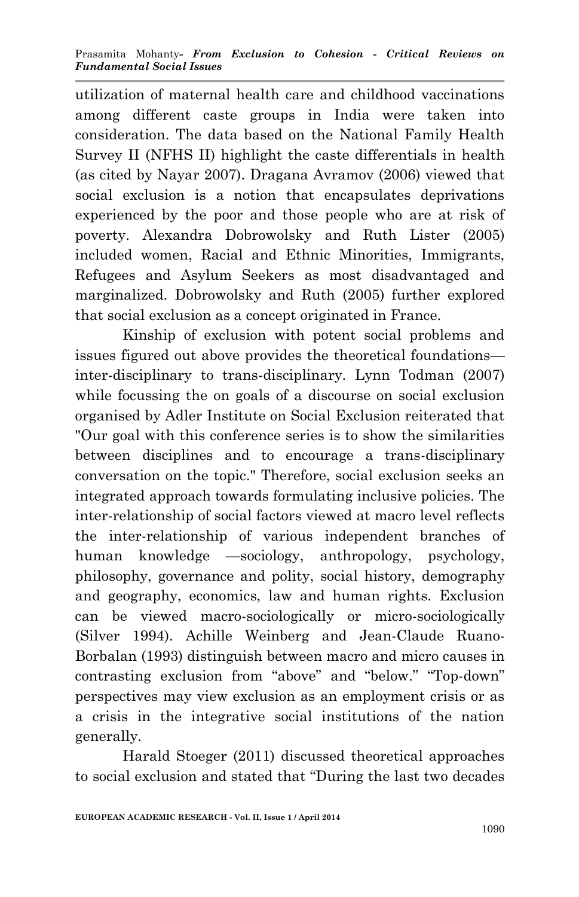utilization of maternal health care and childhood vaccinations among different caste groups in India were taken into consideration. The data based on the National Family Health Survey II (NFHS II) highlight the caste differentials in health (as cited by Nayar 2007). Dragana Avramov (2006) viewed that social exclusion is a notion that encapsulates deprivations experienced by the poor and those people who are at risk of poverty. Alexandra Dobrowolsky and Ruth Lister (2005) included women, Racial and Ethnic Minorities, Immigrants, Refugees and Asylum Seekers as most disadvantaged and marginalized. Dobrowolsky and Ruth (2005) further explored that social exclusion as a concept originated in France.

Kinship of exclusion with potent social problems and issues figured out above provides the theoretical foundations inter-disciplinary to trans-disciplinary. Lynn Todman (2007) while focussing the on goals of a discourse on social exclusion organised by Adler Institute on Social Exclusion reiterated that "Our goal with this conference series is to show the similarities between disciplines and to encourage a trans-disciplinary conversation on the topic." Therefore, social exclusion seeks an integrated approach towards formulating inclusive policies. The inter-relationship of social factors viewed at macro level reflects the inter-relationship of various independent branches of human knowledge —sociology, anthropology, psychology, philosophy, governance and polity, social history, demography and geography, economics, law and human rights. Exclusion can be viewed macro-sociologically or micro-sociologically (Silver 1994). Achille Weinberg and Jean-Claude Ruano-Borbalan (1993) distinguish between macro and micro causes in contrasting exclusion from "above" and "below." "Top-down" perspectives may view exclusion as an employment crisis or as a crisis in the integrative social institutions of the nation generally.

Harald Stoeger (2011) discussed theoretical approaches to social exclusion and stated that "During the last two decades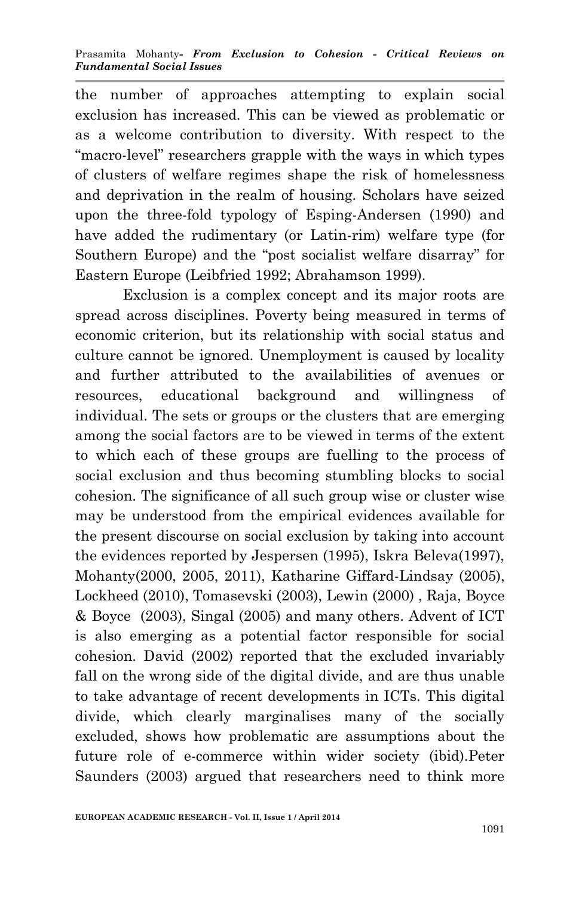the number of approaches attempting to explain social exclusion has increased. This can be viewed as problematic or as a welcome contribution to diversity. With respect to the "macro-level" researchers grapple with the ways in which types of clusters of welfare regimes shape the risk of homelessness and deprivation in the realm of housing. Scholars have seized upon the three-fold typology of Esping-Andersen (1990) and have added the rudimentary (or Latin-rim) welfare type (for Southern Europe) and the "post socialist welfare disarray" for Eastern Europe (Leibfried 1992; Abrahamson 1999).

Exclusion is a complex concept and its major roots are spread across disciplines. Poverty being measured in terms of economic criterion, but its relationship with social status and culture cannot be ignored. Unemployment is caused by locality and further attributed to the availabilities of avenues or resources, educational background and willingness of individual. The sets or groups or the clusters that are emerging among the social factors are to be viewed in terms of the extent to which each of these groups are fuelling to the process of social exclusion and thus becoming stumbling blocks to social cohesion. The significance of all such group wise or cluster wise may be understood from the empirical evidences available for the present discourse on social exclusion by taking into account the evidences reported by Jespersen (1995), Iskra Beleva(1997), Mohanty(2000, 2005, 2011), Katharine Giffard-Lindsay (2005), Lockheed (2010), Tomasevski (2003), Lewin (2000) , Raja, Boyce & Boyce (2003), Singal (2005) and many others. Advent of ICT is also emerging as a potential factor responsible for social cohesion. David (2002) reported that the excluded invariably fall on the wrong side of the digital divide, and are thus unable to take advantage of recent developments in ICTs. This digital divide, which clearly marginalises many of the socially excluded, shows how problematic are assumptions about the future role of e-commerce within wider society (ibid).Peter Saunders (2003) argued that researchers need to think more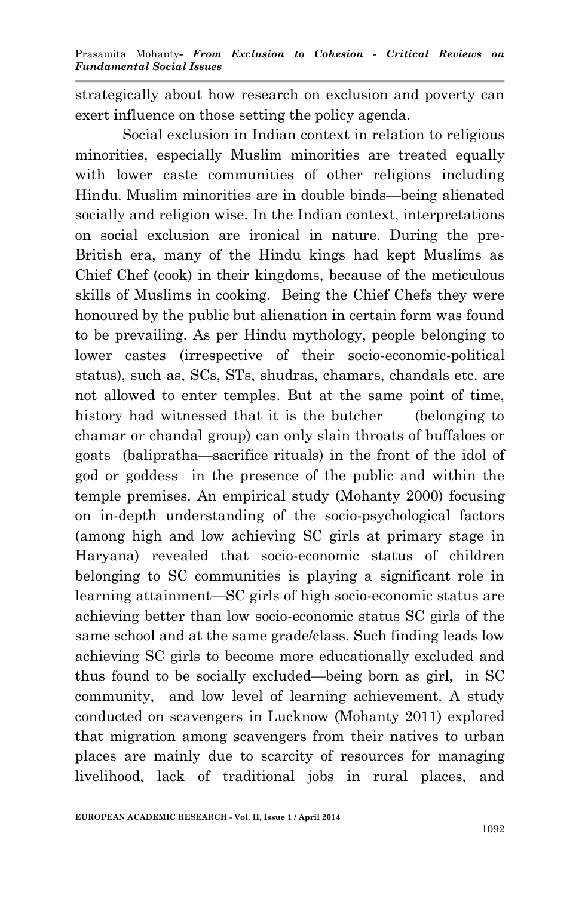strategically about how research on exclusion and poverty can exert influence on those setting the policy agenda.

Social exclusion in Indian context in relation to religious minorities, especially Muslim minorities are treated equally with lower caste communities of other religions including Hindu. Muslim minorities are in double binds—being alienated socially and religion wise. In the Indian context, interpretations on social exclusion are ironical in nature. During the pre-British era, many of the Hindu kings had kept Muslims as Chief Chef (cook) in their kingdoms, because of the meticulous skills of Muslims in cooking. Being the Chief Chefs they were honoured by the public but alienation in certain form was found to be prevailing. As per Hindu mythology, people belonging to lower castes (irrespective of their socio-economic-political status), such as, SCs, STs, shudras, chamars, chandals etc. are not allowed to enter temples. But at the same point of time, history had witnessed that it is the butcher (belonging to chamar or chandal group) can only slain throats of buffaloes or goats (balipratha—sacrifice rituals) in the front of the idol of god or goddess in the presence of the public and within the temple premises. An empirical study (Mohanty 2000) focusing on in-depth understanding of the socio-psychological factors (among high and low achieving SC girls at primary stage in Haryana) revealed that socio-economic status of children belonging to SC communities is playing a significant role in learning attainment—SC girls of high socio-economic status are achieving better than low socio-economic status SC girls of the same school and at the same grade/class. Such finding leads low achieving SC girls to become more educationally excluded and thus found to be socially excluded—being born as girl, in SC community, and low level of learning achievement. A study conducted on scavengers in Lucknow (Mohanty 2011) explored that migration among scavengers from their natives to urban places are mainly due to scarcity of resources for managing livelihood, lack of traditional jobs in rural places, and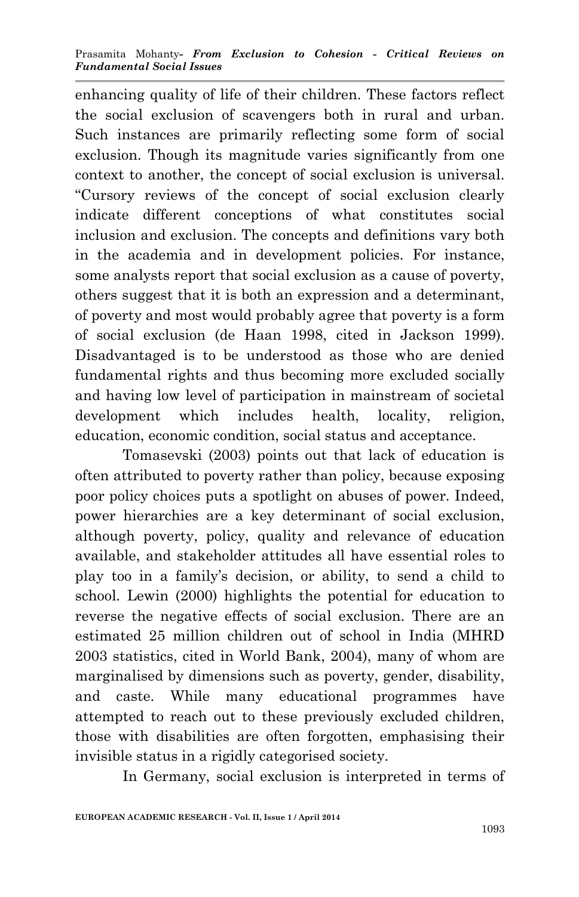enhancing quality of life of their children. These factors reflect the social exclusion of scavengers both in rural and urban. Such instances are primarily reflecting some form of social exclusion. Though its magnitude varies significantly from one context to another, the concept of social exclusion is universal. "Cursory reviews of the concept of social exclusion clearly indicate different conceptions of what constitutes social inclusion and exclusion. The concepts and definitions vary both in the academia and in development policies. For instance, some analysts report that social exclusion as a cause of poverty, others suggest that it is both an expression and a determinant, of poverty and most would probably agree that poverty is a form of social exclusion (de Haan 1998, cited in Jackson 1999). Disadvantaged is to be understood as those who are denied fundamental rights and thus becoming more excluded socially and having low level of participation in mainstream of societal development which includes health, locality, religion, education, economic condition, social status and acceptance.

Tomasevski (2003) points out that lack of education is often attributed to poverty rather than policy, because exposing poor policy choices puts a spotlight on abuses of power. Indeed, power hierarchies are a key determinant of social exclusion, although poverty, policy, quality and relevance of education available, and stakeholder attitudes all have essential roles to play too in a family's decision, or ability, to send a child to school. Lewin (2000) highlights the potential for education to reverse the negative effects of social exclusion. There are an estimated 25 million children out of school in India (MHRD 2003 statistics, cited in World Bank, 2004), many of whom are marginalised by dimensions such as poverty, gender, disability, and caste. While many educational programmes have attempted to reach out to these previously excluded children, those with disabilities are often forgotten, emphasising their invisible status in a rigidly categorised society.

In Germany, social exclusion is interpreted in terms of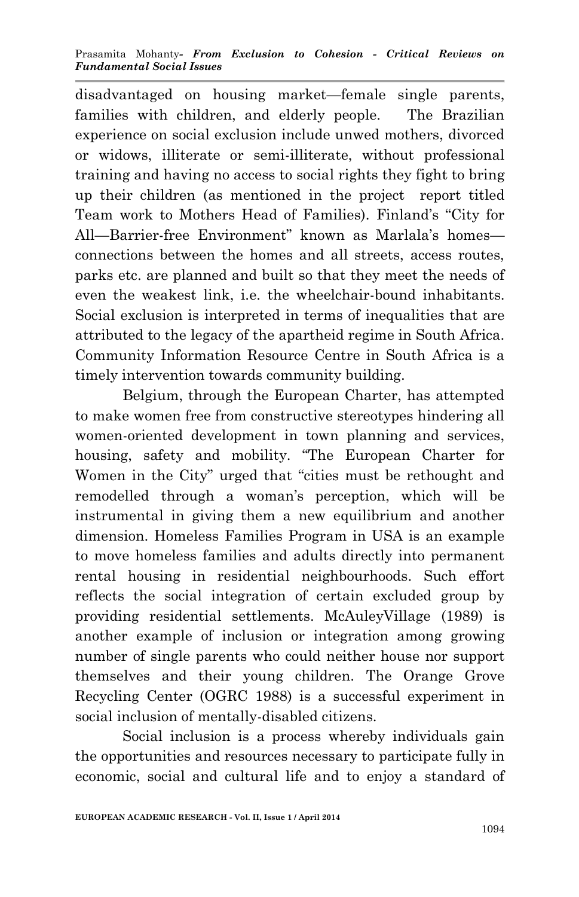disadvantaged on housing market—female single parents, families with children, and elderly people. The Brazilian experience on social exclusion include unwed mothers, divorced or widows, illiterate or semi-illiterate, without professional training and having no access to social rights they fight to bring up their children (as mentioned in the project report titled Team work to Mothers Head of Families). Finland's "City for All—Barrier-free Environment" known as Marlala's homes connections between the homes and all streets, access routes, parks etc. are planned and built so that they meet the needs of even the weakest link, i.e. the wheelchair-bound inhabitants. Social exclusion is interpreted in terms of inequalities that are attributed to the legacy of the apartheid regime in South Africa. Community Information Resource Centre in South Africa is a timely intervention towards community building.

Belgium, through the European Charter, has attempted to make women free from constructive stereotypes hindering all women-oriented development in town planning and services, housing, safety and mobility. "The European Charter for Women in the City" urged that "cities must be rethought and remodelled through a woman's perception, which will be instrumental in giving them a new equilibrium and another dimension. Homeless Families Program in USA is an example to move homeless families and adults directly into permanent rental housing in residential neighbourhoods. Such effort reflects the social integration of certain excluded group by providing residential settlements. McAuleyVillage (1989) is another example of inclusion or integration among growing number of single parents who could neither house nor support themselves and their young children. The Orange Grove Recycling Center (OGRC 1988) is a successful experiment in social inclusion of mentally-disabled citizens.

Social inclusion is a process whereby individuals gain the opportunities and resources necessary to participate fully in economic, social and cultural life and to enjoy a standard of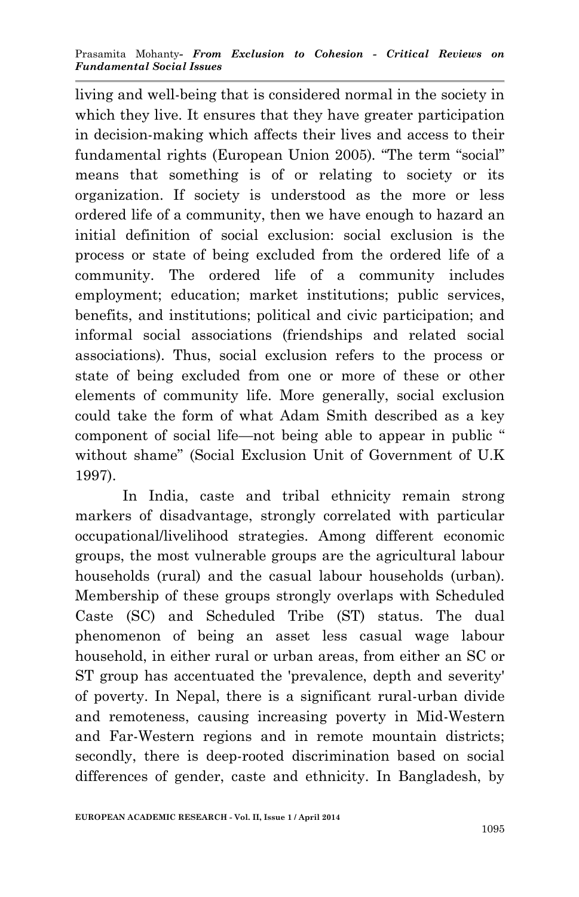living and well-being that is considered normal in the society in which they live. It ensures that they have greater participation in decision-making which affects their lives and access to their fundamental rights (European Union 2005)*.* "The term "social" means that something is of or relating to society or its organization. If society is understood as the more or less ordered life of a community, then we have enough to hazard an initial definition of social exclusion: social exclusion is the process or state of being excluded from the ordered life of a community. The ordered life of a community includes employment; education; market institutions; public services, benefits, and institutions; political and civic participation; and informal social associations (friendships and related social associations). Thus, social exclusion refers to the process or state of being excluded from one or more of these or other elements of community life. More generally, social exclusion could take the form of what Adam Smith described as a key component of social life—not being able to appear in public " without shame" (Social Exclusion Unit of Government of U.K 1997).

In India, caste and tribal ethnicity remain strong markers of disadvantage, strongly correlated with particular occupational/livelihood strategies. Among different economic groups, the most vulnerable groups are the agricultural labour households (rural) and the casual labour households (urban). Membership of these groups strongly overlaps with Scheduled Caste (SC) and Scheduled Tribe (ST) status. The dual phenomenon of being an asset less casual wage labour household, in either rural or urban areas, from either an SC or ST group has accentuated the 'prevalence, depth and severity' of poverty. In Nepal, there is a significant rural-urban divide and remoteness, causing increasing poverty in Mid-Western and Far-Western regions and in remote mountain districts; secondly, there is deep-rooted discrimination based on social differences of gender, caste and ethnicity. In Bangladesh, by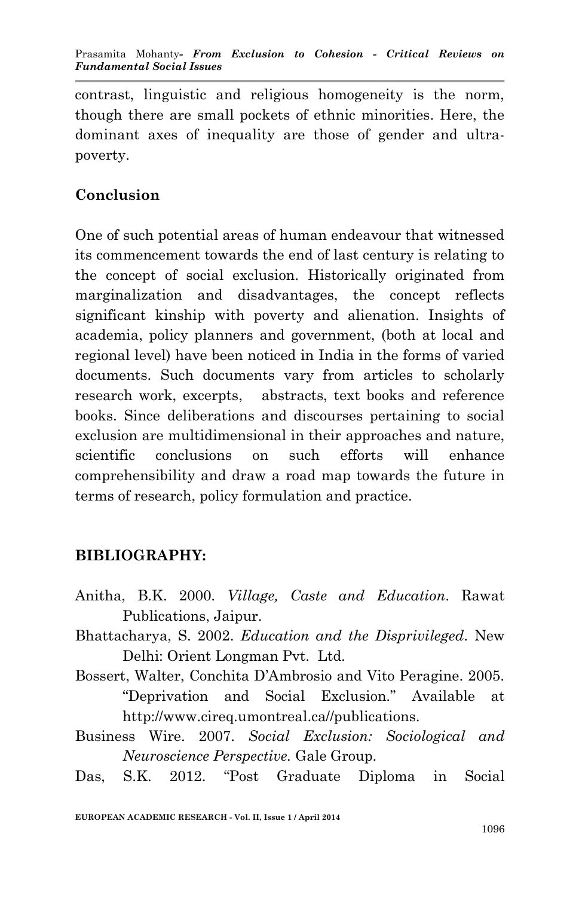Prasamita Mohanty*- From Exclusion to Cohesion - Critical Reviews on Fundamental Social Issues*

contrast, linguistic and religious homogeneity is the norm, though there are small pockets of ethnic minorities. Here, the dominant axes of inequality are those of gender and ultrapoverty.

### **Conclusion**

One of such potential areas of human endeavour that witnessed its commencement towards the end of last century is relating to the concept of social exclusion. Historically originated from marginalization and disadvantages, the concept reflects significant kinship with poverty and alienation. Insights of academia, policy planners and government, (both at local and regional level) have been noticed in India in the forms of varied documents. Such documents vary from articles to scholarly research work, excerpts, abstracts, text books and reference books. Since deliberations and discourses pertaining to social exclusion are multidimensional in their approaches and nature, scientific conclusions on such efforts will enhance comprehensibility and draw a road map towards the future in terms of research, policy formulation and practice.

### **BIBLIOGRAPHY:**

- Anitha, B.K. 2000. *Village, Caste and Education*. Rawat Publications, Jaipur.
- Bhattacharya, S. 2002. *Education and the Disprivileged*. New Delhi: Orient Longman Pvt. Ltd.
- Bossert, Walter, Conchita D'Ambrosio and Vito Peragine. 2005. "Deprivation and Social Exclusion." Available at http://www.cireq.umontreal.ca//publications.
- Business Wire. 2007. *Social Exclusion: Sociological and Neuroscience Perspective.* Gale Group.

Das, S.K. 2012. "Post Graduate Diploma in Social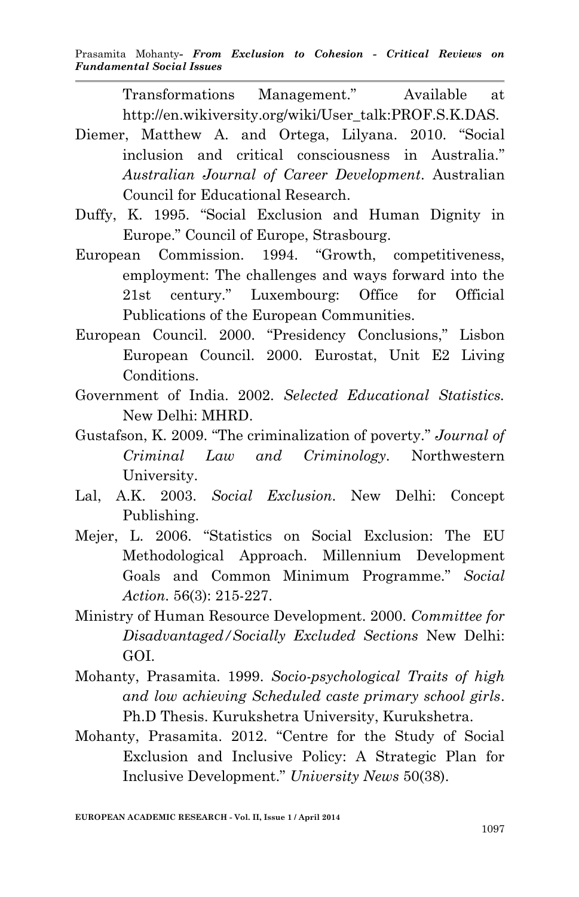Transformations Management." Available at http://en.wikiversity.org/wiki/User\_talk:PROF.S.K.DAS.

- Diemer, Matthew A. and Ortega, Lilyana. 2010. "Social inclusion and critical consciousness in Australia." *Australian Journal of Career Development*. Australian Council for Educational Research.
- Duffy, K. 1995. "Social Exclusion and Human Dignity in Europe." Council of Europe, Strasbourg.
- European Commission. 1994. "Growth, competitiveness, employment: The challenges and ways forward into the 21st century." Luxembourg: Office for Official Publications of the European Communities.
- European Council. 2000. "Presidency Conclusions," Lisbon European Council. 2000. Eurostat, Unit E2 Living Conditions.
- Government of India. 2002. *Selected Educational Statistics.* New Delhi: MHRD.
- Gustafson, K. 2009. "The criminalization of poverty." *Journal of Criminal Law and Criminology*. Northwestern University.
- Lal, A.K. 2003. *Social Exclusion*. New Delhi: Concept Publishing.
- Mejer, L. 2006. "Statistics on Social Exclusion: The EU Methodological Approach. Millennium Development Goals and Common Minimum Programme." *Social Action*. 56(3): 215-227.
- Ministry of Human Resource Development. 2000. *Committee for Disadvantaged/Socially Excluded Sections* New Delhi: GOI.
- Mohanty, Prasamita. 1999. *Socio-psychological Traits of high and low achieving Scheduled caste primary school girls*. Ph.D Thesis. Kurukshetra University, Kurukshetra.
- Mohanty, Prasamita. 2012. "Centre for the Study of Social Exclusion and Inclusive Policy: A Strategic Plan for Inclusive Development." *University News* 50(38).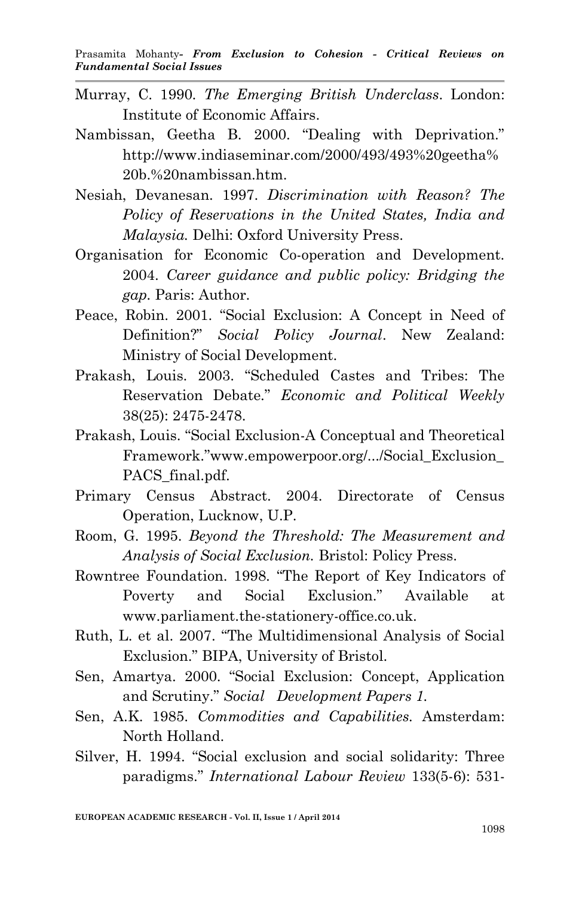- Murray, C. 1990. *The Emerging British Underclass*. London: Institute of Economic Affairs.
- Nambissan, Geetha B. 2000. "Dealing with Deprivation." http://www.indiaseminar.com/2000/493/493%20geetha% 20b.%20nambissan.htm.
- Nesiah, Devanesan. 1997. *Discrimination with Reason? The Policy of Reservations in the United States, India and Malaysia.* Delhi: Oxford University Press.
- Organisation for Economic Co-operation and Development. 2004. *Career guidance and public policy: Bridging the gap.* Paris: Author.
- Peace, Robin. 2001. "Social Exclusion: A Concept in Need of Definition?" *Social Policy Journal*. New Zealand: Ministry of Social Development.
- Prakash, Louis. 2003. "Scheduled Castes and Tribes: The Reservation Debate." *Economic and Political Weekly* 38(25): 2475-2478.
- Prakash, Louis. "Social Exclusion-A Conceptual and Theoretical Framework."www.empowerpoor.org/.../Social\_Exclusion\_ PACS final.pdf.
- Primary Census Abstract. 2004. Directorate of Census Operation, Lucknow, U.P.
- Room, G. 1995. *Beyond the Threshold: The Measurement and Analysis of Social Exclusion.* Bristol: Policy Press.
- Rowntree Foundation. 1998. "The Report of Key Indicators of Poverty and Social Exclusion." Available at www.parliament.the-stationery-office.co.uk.
- Ruth, L. et al. 2007. "The Multidimensional Analysis of Social Exclusion." BIPA, University of Bristol.
- Sen, Amartya. 2000. "Social Exclusion: Concept, Application and Scrutiny." *Social Development Papers 1.*
- Sen, A.K. 1985. *Commodities and Capabilities.* Amsterdam: North Holland.
- Silver, H. 1994. "Social exclusion and social solidarity: Three paradigms." *International Labour Review* 133(5-6): 531-